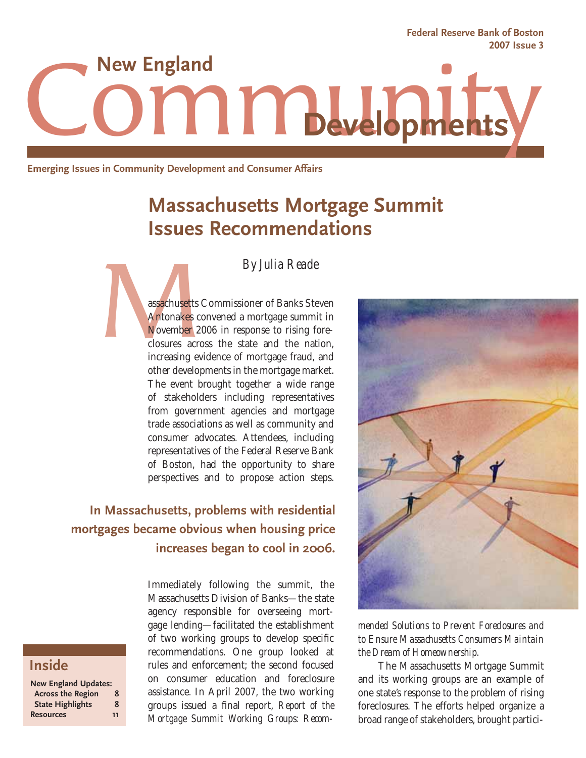Community **2007 Issue 3 Developments**

**Emerging Issues in Community Development and Consumer Affairs**

# **Massachusetts Mortgage Summit Issues Recommendations**

*By Julia Reade*

assachusetts<br>Antonakes c<br>November 2<br>closures acre<br>increasing ev assachusetts Commissioner of Banks Steven Antonakes convened a mortgage summit in November 2006 in response to rising foreclosures across the state and the nation, increasing evidence of mortgage fraud, and other developments in the mortgage market. The event brought together a wide range of stakeholders including representatives from government agencies and mortgage trade associations as well as community and consumer advocates. Attendees, including representatives of the Federal Reserve Bank of Boston, had the opportunity to share perspectives and to propose action steps.

## **In Massachusetts, problems with residential mortgages became obvious when housing price increases began to cool in 2006.**

## **Inside**

| <b>New England Updates:</b> |    |
|-----------------------------|----|
| <b>Across the Region</b>    | 8  |
| <b>State Highlights</b>     | 8  |
| <b>Resources</b>            | 11 |

Immediately following the summit, the Massachusetts Division of Banks—the state agency responsible for overseeing mortgage lending—facilitated the establishment of two working groups to develop specific recommendations. One group looked at rules and enforcement; the second focused on consumer education and foreclosure assistance. In April 2007, the two working groups issued a final report, *Report of the Mortgage Summit Working Groups: Recom-*



**Federal Reserve Bank of Boston**

#### *mended Solutions to Prevent Foreclosures and to Ensure Massachusetts Consumers Maintain the Dream of Homeownership.*

 The Massachusetts Mortgage Summit and its working groups are an example of one state's response to the problem of rising foreclosures. The efforts helped organize a broad range of stakeholders, brought partici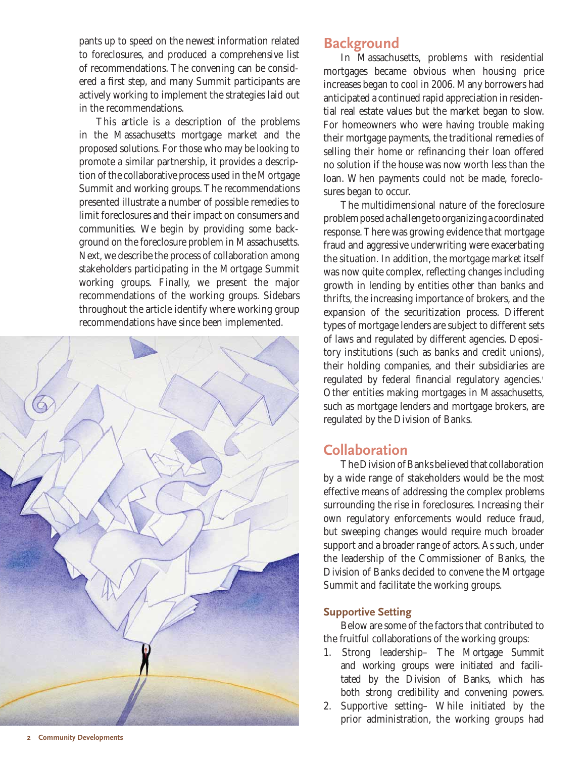pants up to speed on the newest information related to foreclosures, and produced a comprehensive list of recommendations. The convening can be considered a first step, and many Summit participants are actively working to implement the strategies laid out in the recommendations.

This article is a description of the problems in the Massachusetts mortgage market and the proposed solutions. For those who may be looking to promote a similar partnership, it provides a description of the collaborative process used in the Mortgage Summit and working groups. The recommendations presented illustrate a number of possible remedies to limit foreclosures and their impact on consumers and communities. We begin by providing some background on the foreclosure problem in Massachusetts. Next, we describe the process of collaboration among stakeholders participating in the Mortgage Summit working groups. Finally, we present the major recommendations of the working groups. Sidebars throughout the article identify where working group recommendations have since been implemented.



## **Background**

In Massachusetts, problems with residential mortgages became obvious when housing price increases began to cool in 2006. Many borrowers had anticipated a continued rapid appreciation in residential real estate values but the market began to slow. For homeowners who were having trouble making their mortgage payments, the traditional remedies of selling their home or refinancing their loan offered no solution if the house was now worth less than the loan. When payments could not be made, foreclosures began to occur.

The multidimensional nature of the foreclosure problem posed a challenge to organizing a coordinated response. There was growing evidence that mortgage fraud and aggressive underwriting were exacerbating the situation. In addition, the mortgage market itself was now quite complex, reflecting changes including growth in lending by entities other than banks and thrifts, the increasing importance of brokers, and the expansion of the securitization process. Different types of mortgage lenders are subject to different sets of laws and regulated by different agencies. Depository institutions (such as banks and credit unions), their holding companies, and their subsidiaries are regulated by federal financial regulatory agencies.<sup>1</sup> Other entities making mortgages in Massachusetts, such as mortgage lenders and mortgage brokers, are regulated by the Division of Banks.

## **Collaboration**

The Division of Banks believed that collaboration by a wide range of stakeholders would be the most effective means of addressing the complex problems surrounding the rise in foreclosures. Increasing their own regulatory enforcements would reduce fraud, but sweeping changes would require much broader support and a broader range of actors. As such, under the leadership of the Commissioner of Banks, the Division of Banks decided to convene the Mortgage Summit and facilitate the working groups.

#### **Supportive Setting**

Below are some of the factors that contributed to the fruitful collaborations of the working groups:

- 1. Strong leadership– The Mortgage Summit and working groups were initiated and facilitated by the Division of Banks, which has both strong credibility and convening powers.
- 2. Supportive setting– While initiated by the prior administration, the working groups had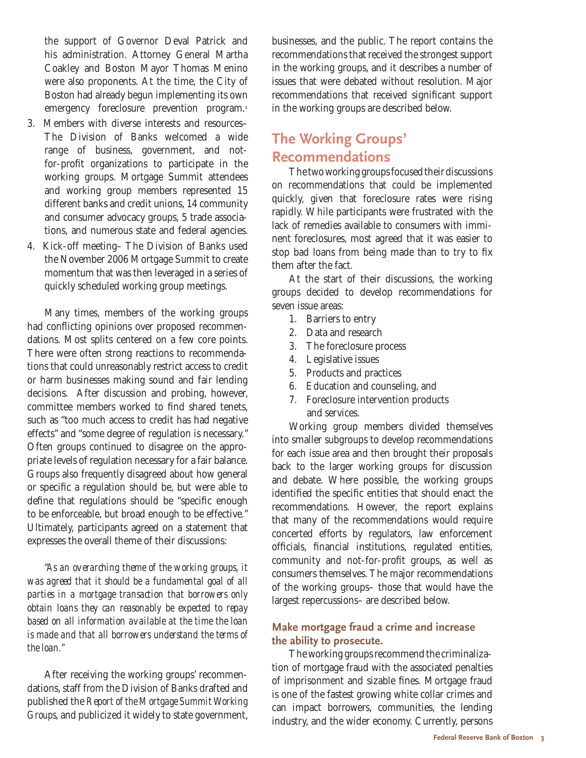the support of Governor Deval Patrick and his administration. Attorney General Martha Coakley and Boston Mayor Thomas Menino were also proponents. At the time, the City of Boston had already begun implementing its own emergency foreclosure prevention program.<sup>2</sup>

- 3. Members with diverse interests and resources– The Division of Banks welcomed a wide range of business, government, and notfor-profit organizations to participate in the working groups. Mortgage Summit attendees and working group members represented 15 different banks and credit unions, 14 community and consumer advocacy groups, 5 trade associations, and numerous state and federal agencies.
- 4. Kick-off meeting– The Division of Banks used the November 2006 Mortgage Summit to create momentum that was then leveraged in a series of quickly scheduled working group meetings.

Many times, members of the working groups had conflicting opinions over proposed recommendations. Most splits centered on a few core points. There were often strong reactions to recommendations that could unreasonably restrict access to credit or harm businesses making sound and fair lending decisions. After discussion and probing, however, committee members worked to find shared tenets. such as "too much access to credit has had negative effects" and "some degree of regulation is necessary." Often groups continued to disagree on the appropriate levels of regulation necessary for a fair balance. Groups also frequently disagreed about how general or specific a regulation should be, but were able to define that regulations should be "specific enough to be enforceable, but broad enough to be effective." Ultimately, participants agreed on a statement that expresses the overall theme of their discussions:

*"As an overarching theme of the working groups, it was agreed that it should be a fundamental goal of all parties in a mortgage transaction that borrowers only obtain loans they can reasonably be expected to repay based on all information available at the time the loan is made and that all borrowers understand the terms of the loan."*

After receiving the working groups' recommendations, staff from the Division of Banks drafted and published the *Report of the Mortgage Summit Working Groups*, and publicized it widely to state government,

businesses, and the public. The report contains the recommendations that received the strongest support in the working groups, and it describes a number of issues that were debated without resolution. Major recommendations that received significant support in the working groups are described below.

## **The Working Groups' Recommendations**

The two working groups focused their discussions on recommendations that could be implemented quickly, given that foreclosure rates were rising rapidly. While participants were frustrated with the lack of remedies available to consumers with imminent foreclosures, most agreed that it was easier to stop bad loans from being made than to try to fix them after the fact.

At the start of their discussions, the working groups decided to develop recommendations for seven issue areas:

- 1. Barriers to entry
- 2. Data and research
- 3. The foreclosure process
- 4. Legislative issues
- 5. Products and practices
- 6. Education and counseling, and
- 7. Foreclosure intervention products and services.

Working group members divided themselves into smaller subgroups to develop recommendations for each issue area and then brought their proposals back to the larger working groups for discussion and debate. Where possible, the working groups identified the specific entities that should enact the recommendations. However, the report explains that many of the recommendations would require concerted efforts by regulators, law enforcement officials, financial institutions, regulated entities, community and not-for-profit groups, as well as consumers themselves. The major recommendations of the working groups– those that would have the largest repercussions– are described below.

### **Make mortgage fraud a crime and increase the ability to prosecute.**

The working groups recommend the criminalization of mortgage fraud with the associated penalties of imprisonment and sizable fines. Mortgage fraud is one of the fastest growing white collar crimes and can impact borrowers, communities, the lending industry, and the wider economy. Currently, persons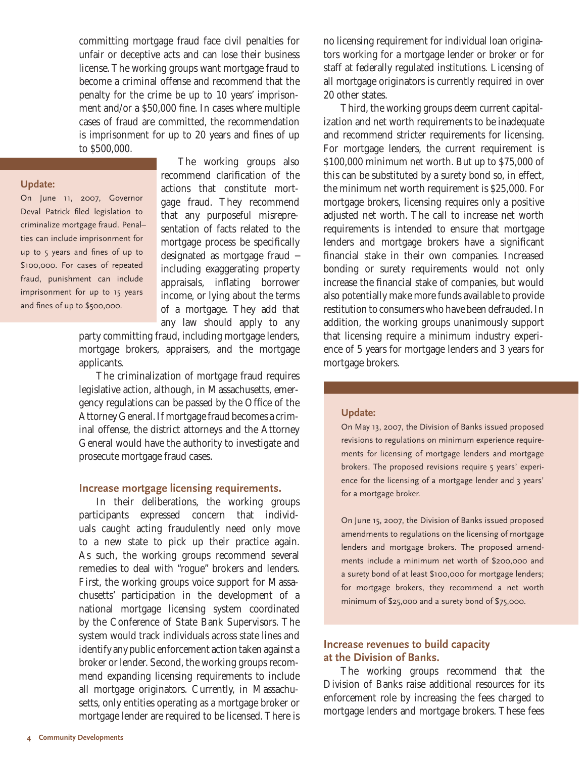committing mortgage fraud face civil penalties for unfair or deceptive acts and can lose their business license. The working groups want mortgage fraud to become a criminal offense and recommend that the penalty for the crime be up to 10 years' imprisonment and/or a \$50,000 fine. In cases where multiple cases of fraud are committed, the recommendation is imprisonment for up to 20 years and fines of up to \$500,000.

#### **Update:**

On June 11, 2007, Governor Deval Patrick filed legislation to criminalize mortgage fraud. Penal–ties can include imprisonment for up to 5 years and fines of up to \$100,000. For cases of repeated fraud, punishment can include imprisonment for up to 15 years and fines of up to \$500,000.

The working groups also recommend clarification of the actions that constitute mortgage fraud. They recommend that any purposeful misrepresentation of facts related to the mortgage process be specifically designated as mortgage fraud − including exaggerating property appraisals, inflating borrower income, or lying about the terms of a mortgage. They add that any law should apply to any

party committing fraud, including mortgage lenders, mortgage brokers, appraisers, and the mortgage applicants.

The criminalization of mortgage fraud requires legislative action, although, in Massachusetts, emergency regulations can be passed by the Office of the Attorney General. If mortgage fraud becomes a criminal offense, the district attorneys and the Attorney General would have the authority to investigate and prosecute mortgage fraud cases.

#### **Increase mortgage licensing requirements.**

In their deliberations, the working groups participants expressed concern that individuals caught acting fraudulently need only move to a new state to pick up their practice again. As such, the working groups recommend several remedies to deal with "rogue" brokers and lenders. First, the working groups voice support for Massachusetts' participation in the development of a national mortgage licensing system coordinated by the Conference of State Bank Supervisors. The system would track individuals across state lines and identify any public enforcement action taken against a broker or lender. Second, the working groups recommend expanding licensing requirements to include all mortgage originators. Currently, in Massachusetts, only entities operating as a mortgage broker or mortgage lender are required to be licensed. There is no licensing requirement for individual loan originators working for a mortgage lender or broker or for staff at federally regulated institutions. Licensing of all mortgage originators is currently required in over 20 other states.

Third, the working groups deem current capitalization and net worth requirements to be inadequate and recommend stricter requirements for licensing. For mortgage lenders, the current requirement is \$100,000 minimum net worth. But up to \$75,000 of this can be substituted by a surety bond so, in effect, the minimum net worth requirement is \$25,000. For mortgage brokers, licensing requires only a positive adjusted net worth. The call to increase net worth requirements is intended to ensure that mortgage lenders and mortgage brokers have a significant financial stake in their own companies. Increased bonding or surety requirements would not only increase the financial stake of companies, but would also potentially make more funds available to provide restitution to consumers who have been defrauded. In addition, the working groups unanimously support that licensing require a minimum industry experience of 5 years for mortgage lenders and 3 years for mortgage brokers.

#### **Update:**

On May 13, 2007, the Division of Banks issued proposed revisions to regulations on minimum experience requirements for licensing of mortgage lenders and mortgage brokers. The proposed revisions require 5 years' experience for the licensing of a mortgage lender and 3 years' for a mortgage broker.

On June 15, 2007, the Division of Banks issued proposed amendments to regulations on the licensing of mortgage lenders and mortgage brokers. The proposed amendments include a minimum net worth of \$200,000 and a surety bond of at least \$100,000 for mortgage lenders; for mortgage brokers, they recommend a net worth minimum of \$25,000 and a surety bond of \$75,000.

#### **Increase revenues to build capacity at the Division of Banks.**

The working groups recommend that the Division of Banks raise additional resources for its enforcement role by increasing the fees charged to mortgage lenders and mortgage brokers. These fees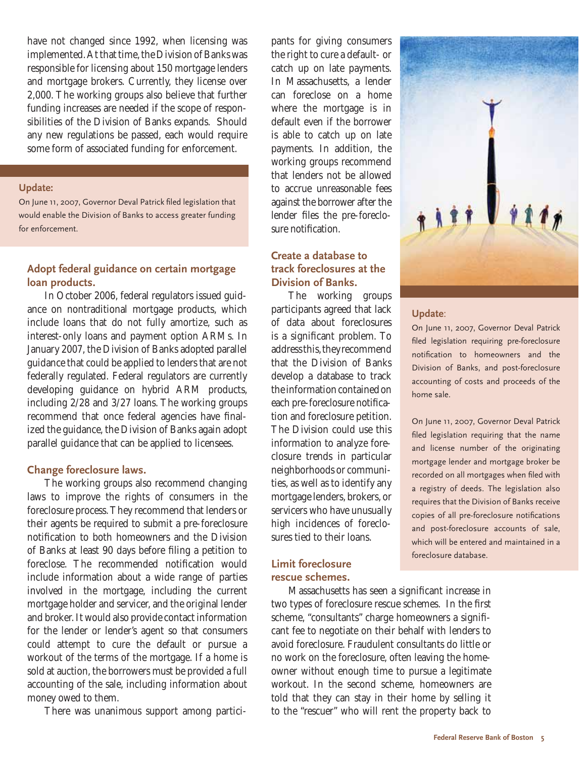have not changed since 1992, when licensing was implemented. At that time, the Division of Banks was responsible for licensing about 150 mortgage lenders and mortgage brokers. Currently, they license over 2,000. The working groups also believe that further funding increases are needed if the scope of responsibilities of the Division of Banks expands. Should any new regulations be passed, each would require some form of associated funding for enforcement.

#### **Update:**

On June 11, 2007, Governor Deval Patrick filed legislation that would enable the Division of Banks to access greater funding for enforcement.

### **Adopt federal guidance on certain mortgage loan products.**

In October 2006, federal regulators issued guidance on nontraditional mortgage products, which include loans that do not fully amortize, such as interest-only loans and payment option ARMs. In January 2007, the Division of Banks adopted parallel guidance that could be applied to lenders that are not federally regulated. Federal regulators are currently developing guidance on hybrid ARM products, including 2/28 and 3/27 loans. The working groups recommend that once federal agencies have finalized the guidance, the Division of Banks again adopt parallel guidance that can be applied to licensees.

#### **Change foreclosure laws.**

The working groups also recommend changing laws to improve the rights of consumers in the foreclosure process. They recommend that lenders or their agents be required to submit a pre-foreclosure notification to both homeowners and the Division of Banks at least 90 days before filing a petition to foreclose. The recommended notification would include information about a wide range of parties involved in the mortgage, including the current mortgage holder and servicer, and the original lender and broker. It would also provide contact information for the lender or lender's agent so that consumers could attempt to cure the default or pursue a workout of the terms of the mortgage. If a home is sold at auction, the borrowers must be provided a full accounting of the sale, including information about money owed to them.

There was unanimous support among partici-

pants for giving consumers the right to cure a default- or catch up on late payments. In Massachusetts, a lender can foreclose on a home where the mortgage is in default even if the borrower is able to catch up on late payments. In addition, the working groups recommend that lenders not be allowed to accrue unreasonable fees against the borrower after the lender files the pre-foreclosure notification.

### **Create a database to track foreclosures at the Division of Banks.**

The working groups participants agreed that lack of data about foreclosures is a significant problem. To address this, they recommend that the Division of Banks develop a database to track the information contained on each pre-foreclosure notification and foreclosure petition. The Division could use this information to analyze foreclosure trends in particular neighborhoods or communities, as well as to identify any mortgage lenders, brokers, or servicers who have unusually high incidences of foreclosures tied to their loans.

### **Limit foreclosure rescue schemes.**

Massachusetts has seen a significant increase in two types of foreclosure rescue schemes. In the first scheme, "consultants" charge homeowners a significant fee to negotiate on their behalf with lenders to avoid foreclosure. Fraudulent consultants do little or no work on the foreclosure, often leaving the homeowner without enough time to pursue a legitimate workout. In the second scheme, homeowners are told that they can stay in their home by selling it to the "rescuer" who will rent the property back to



filed legislation requiring pre-foreclosure notification to homeowners and the Division of Banks, and post-foreclosure accounting of costs and proceeds of the home sale.

On June 11, 2007, Governor Deval Patrick filed legislation requiring that the name and license number of the originating mortgage lender and mortgage broker be recorded on all mortgages when filed with a registry of deeds. The legislation also requires that the Division of Banks receive copies of all pre-foreclosure notifications and post-foreclosure accounts of sale, which will be entered and maintained in a foreclosure database.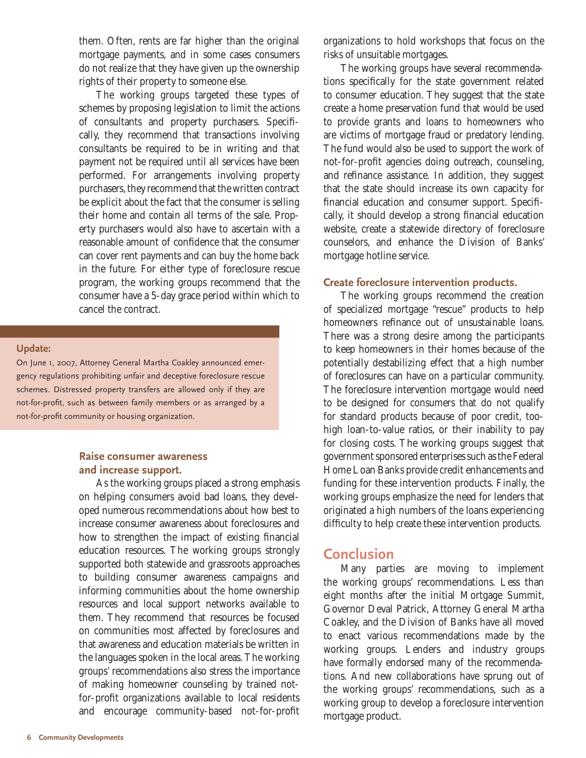them. Often, rents are far higher than the original mortgage payments, and in some cases consumers do not realize that they have given up the ownership rights of their property to someone else.

The working groups targeted these types of schemes by proposing legislation to limit the actions of consultants and property purchasers. Specifically, they recommend that transactions involving consultants be required to be in writing and that payment not be required until all services have been performed. For arrangements involving property purchasers, they recommend that the written contract be explicit about the fact that the consumer is selling their home and contain all terms of the sale. Property purchasers would also have to ascertain with a reasonable amount of confidence that the consumer can cover rent payments and can buy the home back in the future. For either type of foreclosure rescue program, the working groups recommend that the consumer have a 5-day grace period within which to cancel the contract.

#### **Update:**

On June 1, 2007, Attorney General Martha Coakley announced emergency regulations prohibiting unfair and deceptive foreclosure rescue schemes. Distressed property transfers are allowed only if they are not-for-profit, such as between family members or as arranged by a not-for-profit community or housing organization.

#### **Raise consumer awareness and increase support.**

As the working groups placed a strong emphasis on helping consumers avoid bad loans, they developed numerous recommendations about how best to increase consumer awareness about foreclosures and how to strengthen the impact of existing financial education resources. The working groups strongly supported both statewide and grassroots approaches to building consumer awareness campaigns and informing communities about the home ownership resources and local support networks available to them. They recommend that resources be focused on communities most affected by foreclosures and that awareness and education materials be written in the languages spoken in the local areas. The working groups' recommendations also stress the importance of making homeowner counseling by trained notfor-profit organizations available to local residents and encourage community-based not-for-profit

organizations to hold workshops that focus on the risks of unsuitable mortgages.

The working groups have several recommendations specifically for the state government related to consumer education. They suggest that the state create a home preservation fund that would be used to provide grants and loans to homeowners who are victims of mortgage fraud or predatory lending. The fund would also be used to support the work of not-for-profit agencies doing outreach, counseling, and refinance assistance. In addition, they suggest that the state should increase its own capacity for financial education and consumer support. Specifically, it should develop a strong financial education website, create a statewide directory of foreclosure counselors, and enhance the Division of Banks' mortgage hotline service.

#### **Create foreclosure intervention products.**

The working groups recommend the creation of specialized mortgage "rescue" products to help homeowners refinance out of unsustainable loans. There was a strong desire among the participants to keep homeowners in their homes because of the potentially destabilizing effect that a high number of foreclosures can have on a particular community. The foreclosure intervention mortgage would need to be designed for consumers that do not qualify for standard products because of poor credit, toohigh loan-to-value ratios, or their inability to pay for closing costs. The working groups suggest that government sponsored enterprises such as the Federal Home Loan Banks provide credit enhancements and funding for these intervention products. Finally, the working groups emphasize the need for lenders that originated a high numbers of the loans experiencing difficulty to help create these intervention products.

## **Conclusion**

Many parties are moving to implement the working groups' recommendations. Less than eight months after the initial Mortgage Summit, Governor Deval Patrick, Attorney General Martha Coakley, and the Division of Banks have all moved to enact various recommendations made by the working groups. Lenders and industry groups have formally endorsed many of the recommendations. And new collaborations have sprung out of the working groups' recommendations, such as a working group to develop a foreclosure intervention mortgage product.